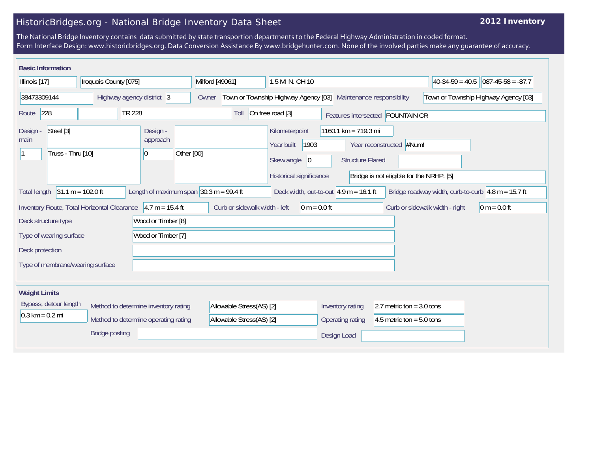## HistoricBridges.org - National Bridge Inventory Data Sheet

## **2012 Inventory**

The National Bridge Inventory contains data submitted by state transportion departments to the Federal Highway Administration in coded format. Form Interface Design: www.historicbridges.org. Data Conversion Assistance By www.bridgehunter.com. None of the involved parties make any guarantee of accuracy.

| <b>Basic Information</b>                                                                                                                                                                                             |     |                           |                                        |                                                 |                                                                    |                                                                                                                                                                                                                 |                             |                                |                                      |                                      |  |  |
|----------------------------------------------------------------------------------------------------------------------------------------------------------------------------------------------------------------------|-----|---------------------------|----------------------------------------|-------------------------------------------------|--------------------------------------------------------------------|-----------------------------------------------------------------------------------------------------------------------------------------------------------------------------------------------------------------|-----------------------------|--------------------------------|--------------------------------------|--------------------------------------|--|--|
| Illinois [17]                                                                                                                                                                                                        |     | Iroquois County [075]     |                                        |                                                 | Milford [49061]                                                    |                                                                                                                                                                                                                 | 1.5 MI N. CH 10             |                                |                                      | $ 40-34-59 = 40.5 087-45-58 = -87.7$ |  |  |
| 38473309144                                                                                                                                                                                                          |     | Highway agency district 3 |                                        | Owner                                           | Town or Township Highway Agency [03]<br>Maintenance responsibility |                                                                                                                                                                                                                 |                             |                                | Town or Township Highway Agency [03] |                                      |  |  |
| Route                                                                                                                                                                                                                | 228 |                           | TR 228                                 |                                                 |                                                                    |                                                                                                                                                                                                                 | Toll                        | On free road [3]               |                                      | Features intersected FOUNTAIN CR     |  |  |
| Steel [3]<br>Design -<br>main<br>Truss - Thru [10]                                                                                                                                                                   |     |                           | Design -<br>approach<br>$\overline{0}$ | Other [00]                                      |                                                                    | 1160.1 km = 719.3 mi<br>Kilometerpoint<br>1903<br>Year reconstructed #Num!<br>Year built<br>Skew angle<br> 0 <br><b>Structure Flared</b><br>Historical significance<br>Bridge is not eligible for the NRHP. [5] |                             |                                |                                      |                                      |  |  |
| Length of maximum span $30.3$ m = 99.4 ft<br>$31.1 m = 102.0 ft$<br>Deck width, out-to-out $ 4.9 \text{ m} = 16.1 \text{ ft} $<br>Bridge roadway width, curb-to-curb $\sqrt{4.8}$ m = 15.7 ft<br><b>Total length</b> |     |                           |                                        |                                                 |                                                                    |                                                                                                                                                                                                                 |                             |                                |                                      |                                      |  |  |
| Inventory Route, Total Horizontal Clearance $ 4.7 \text{ m} = 15.4 \text{ ft} $<br>Wood or Timber [8]<br>Deck structure type                                                                                         |     |                           |                                        | Curb or sidewalk width - left<br>0 m = $0.0$ ft |                                                                    |                                                                                                                                                                                                                 |                             | Curb or sidewalk width - right | $0 m = 0.0 ft$                       |                                      |  |  |
| Wood or Timber [7]<br>Type of wearing surface                                                                                                                                                                        |     |                           |                                        |                                                 |                                                                    |                                                                                                                                                                                                                 |                             |                                |                                      |                                      |  |  |
| Deck protection                                                                                                                                                                                                      |     |                           |                                        |                                                 |                                                                    |                                                                                                                                                                                                                 |                             |                                |                                      |                                      |  |  |
| Type of membrane/wearing surface                                                                                                                                                                                     |     |                           |                                        |                                                 |                                                                    |                                                                                                                                                                                                                 |                             |                                |                                      |                                      |  |  |
| <b>Weight Limits</b>                                                                                                                                                                                                 |     |                           |                                        |                                                 |                                                                    |                                                                                                                                                                                                                 |                             |                                |                                      |                                      |  |  |
| Bypass, detour length<br>Method to determine inventory rating<br>$0.3 \text{ km} = 0.2 \text{ mi}$                                                                                                                   |     |                           |                                        | Allowable Stress(AS) [2]                        |                                                                    | Inventory rating                                                                                                                                                                                                | 2.7 metric ton = $3.0$ tons |                                |                                      |                                      |  |  |
| Method to determine operating rating                                                                                                                                                                                 |     |                           |                                        | Allowable Stress(AS) [2]                        |                                                                    | <b>Operating rating</b>                                                                                                                                                                                         | 4.5 metric ton = $5.0$ tons |                                |                                      |                                      |  |  |
| <b>Bridge posting</b>                                                                                                                                                                                                |     |                           |                                        |                                                 |                                                                    | Design Load                                                                                                                                                                                                     |                             |                                |                                      |                                      |  |  |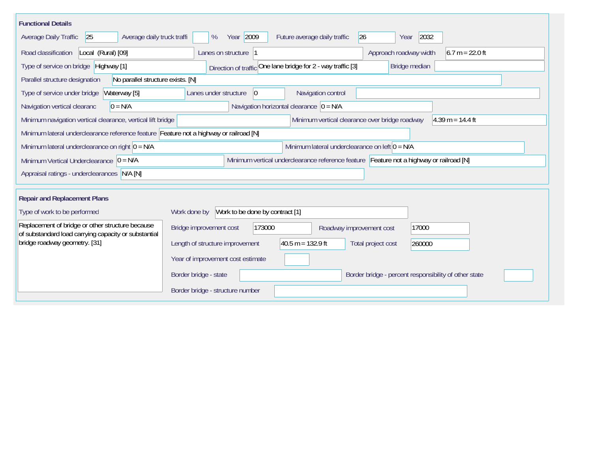| <b>Functional Details</b>                                                                                |                                                                                         |  |  |  |  |  |  |  |
|----------------------------------------------------------------------------------------------------------|-----------------------------------------------------------------------------------------|--|--|--|--|--|--|--|
| Average daily truck traffi<br>Average Daily Traffic<br>25                                                | Year 2009<br>2032<br>26<br>%<br>Future average daily traffic<br>Year                    |  |  |  |  |  |  |  |
| Road classification<br>Local (Rural) [09]                                                                | Approach roadway width<br>$6.7 m = 22.0 ft$<br>Lanes on structure  1                    |  |  |  |  |  |  |  |
| Type of service on bridge Highway [1]                                                                    | Direction of traffic One lane bridge for 2 - way traffic [3]<br>Bridge median           |  |  |  |  |  |  |  |
| No parallel structure exists. [N]<br>Parallel structure designation                                      |                                                                                         |  |  |  |  |  |  |  |
| Waterway [5]<br>Type of service under bridge                                                             | 0 <br>Navigation control<br>Lanes under structure                                       |  |  |  |  |  |  |  |
| Navigation vertical clearanc<br>$0 = N/A$                                                                | Navigation horizontal clearance $ 0 = N/A$                                              |  |  |  |  |  |  |  |
| Minimum navigation vertical clearance, vertical lift bridge                                              | Minimum vertical clearance over bridge roadway<br>$4.39 m = 14.4 ft$                    |  |  |  |  |  |  |  |
| Minimum lateral underclearance reference feature Feature not a highway or railroad [N]                   |                                                                                         |  |  |  |  |  |  |  |
| Minimum lateral underclearance on right $ 0 = N/A$                                                       | Minimum lateral underclearance on left $0 = N/A$                                        |  |  |  |  |  |  |  |
| Minimum Vertical Underclearance $ 0 = N/A$                                                               | Minimum vertical underclearance reference feature Feature not a highway or railroad [N] |  |  |  |  |  |  |  |
| Appraisal ratings - underclearances N/A [N]                                                              |                                                                                         |  |  |  |  |  |  |  |
|                                                                                                          |                                                                                         |  |  |  |  |  |  |  |
| <b>Repair and Replacement Plans</b>                                                                      |                                                                                         |  |  |  |  |  |  |  |
| Type of work to be performed                                                                             | Work to be done by contract [1]<br>Work done by                                         |  |  |  |  |  |  |  |
| Replacement of bridge or other structure because<br>of substandard load carrying capacity or substantial | 173000<br>17000<br>Bridge improvement cost<br>Roadway improvement cost                  |  |  |  |  |  |  |  |
| bridge roadway geometry. [31]                                                                            | $40.5 m = 132.9 ft$<br>Length of structure improvement<br>Total project cost<br>260000  |  |  |  |  |  |  |  |
|                                                                                                          | Year of improvement cost estimate                                                       |  |  |  |  |  |  |  |
|                                                                                                          | Border bridge - state<br>Border bridge - percent responsibility of other state          |  |  |  |  |  |  |  |
|                                                                                                          | Border bridge - structure number                                                        |  |  |  |  |  |  |  |